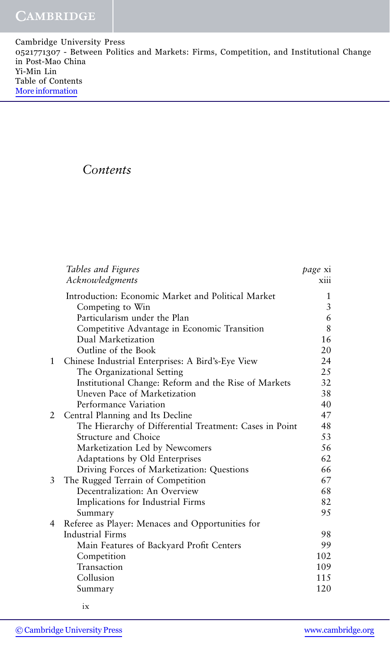Cambridge University Press 0521771307 - Between Politics and Markets: Firms, Competition, and Institutional Change in Post-Mao China Yi-Min Lin Table of Contents [More information](http://www.cambridge.org/0521771307)

## *Contents*

|   | Tables and Figures                                      | page xi |
|---|---------------------------------------------------------|---------|
|   | Acknowledgments                                         | xiii    |
|   | Introduction: Economic Market and Political Market      | 1       |
|   | Competing to Win                                        | 3       |
|   | Particularism under the Plan                            | 6       |
|   | Competitive Advantage in Economic Transition            | 8       |
|   | Dual Marketization                                      | 16      |
|   | Outline of the Book                                     | 20      |
| 1 | Chinese Industrial Enterprises: A Bird's-Eye View       | 24      |
|   | The Organizational Setting                              | 25      |
|   | Institutional Change: Reform and the Rise of Markets    | 32      |
|   | Uneven Pace of Marketization                            | 38      |
|   | Performance Variation                                   | 40      |
| 2 | Central Planning and Its Decline                        | 47      |
|   | The Hierarchy of Differential Treatment: Cases in Point | 48      |
|   | Structure and Choice                                    | 53      |
|   | Marketization Led by Newcomers                          | 56      |
|   | Adaptations by Old Enterprises                          | 62      |
|   | Driving Forces of Marketization: Questions              | 66      |
| 3 | The Rugged Terrain of Competition                       | 67      |
|   | Decentralization: An Overview                           | 68      |
|   | Implications for Industrial Firms                       | 82      |
|   | Summary                                                 | 95      |
| 4 | Referee as Player: Menaces and Opportunities for        |         |
|   | <b>Industrial Firms</b>                                 | 98      |
|   | Main Features of Backyard Profit Centers                | 99      |
|   | Competition                                             | 102     |
|   | Transaction                                             | 109     |
|   | Collusion                                               | 115     |
|   | Summary                                                 | 120     |
|   |                                                         |         |